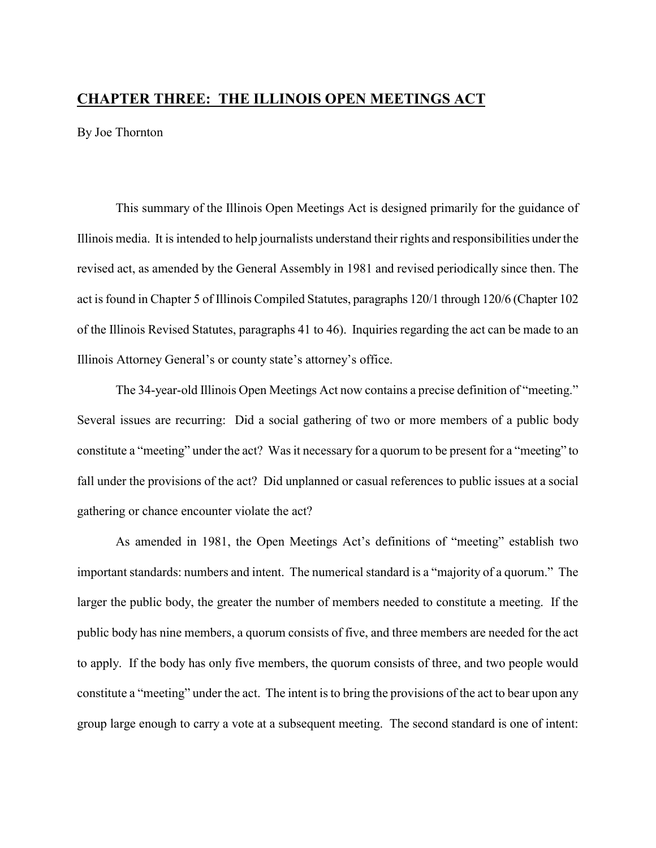## **CHAPTER THREE: THE ILLINOIS OPEN MEETINGS ACT**

By Joe Thornton

This summary of the Illinois Open Meetings Act is designed primarily for the guidance of Illinois media. It is intended to help journalists understand their rights and responsibilities under the revised act, as amended by the General Assembly in 1981 and revised periodically since then. The act is found in Chapter 5 of Illinois Compiled Statutes, paragraphs 120/1 through 120/6 (Chapter 102 of the Illinois Revised Statutes, paragraphs 41 to 46). Inquiries regarding the act can be made to an Illinois Attorney General's or county state's attorney's office.

The 34-year-old Illinois Open Meetings Act now contains a precise definition of "meeting." Several issues are recurring: Did a social gathering of two or more members of a public body constitute a "meeting" under the act? Was it necessary for a quorum to be present for a "meeting" to fall under the provisions of the act? Did unplanned or casual references to public issues at a social gathering or chance encounter violate the act?

As amended in 1981, the Open Meetings Act's definitions of "meeting" establish two important standards: numbers and intent. The numerical standard is a "majority of a quorum." The larger the public body, the greater the number of members needed to constitute a meeting. If the public body has nine members, a quorum consists of five, and three members are needed for the act to apply. If the body has only five members, the quorum consists of three, and two people would constitute a "meeting" under the act. The intent is to bring the provisions of the act to bear upon any group large enough to carry a vote at a subsequent meeting. The second standard is one of intent: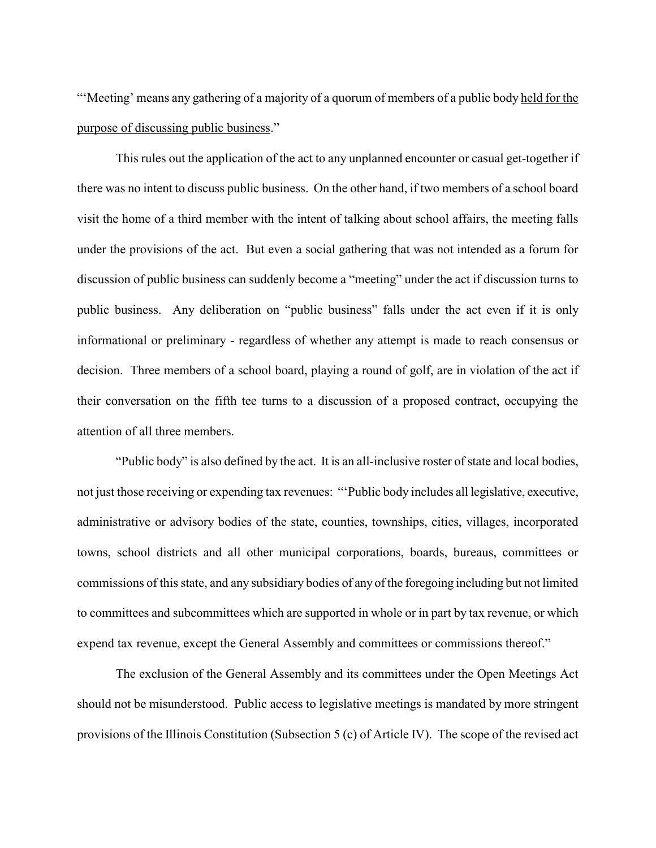"'Meeting' means any gathering of a majority of a quorum of members of a public body held for the purpose of discussing public business."

This rules out the application of the act to any unplanned encounter or casual get-together if there was no intent to discuss public business. On the other hand, if two members of a school board visit the home of a third member with the intent of talking about school affairs, the meeting falls under the provisions of the act. But even a social gathering that was not intended as a forum for discussion of public business can suddenly become a "meeting" under the act if discussion turns to public business. Any deliberation on "public business" falls under the act even if it is only informational or preliminary - regardless of whether any attempt is made to reach consensus or decision. Three members of a school board, playing a round of golf, are in violation of the act if their conversation on the fifth tee turns to a discussion of a proposed contract, occupying the attention of all three members.

"Public body" is also defined by the act. It is an all-inclusive roster of state and local bodies, not just those receiving or expending tax revenues: "'Public body includes all legislative, executive, administrative or advisory bodies of the state, counties, townships, cities, villages, incorporated towns, school districts and all other municipal corporations, boards, bureaus, committees or commissions of this state, and any subsidiary bodies of any of the foregoing including but not limited to committees and subcommittees which are supported in whole or in part by tax revenue, or which expend tax revenue, except the General Assembly and committees or commissions thereof."

The exclusion of the General Assembly and its committees under the Open Meetings Act should not be misunderstood. Public access to legislative meetings is mandated by more stringent provisions of the Illinois Constitution (Subsection 5 (c) of Article IV). The scope of the revised act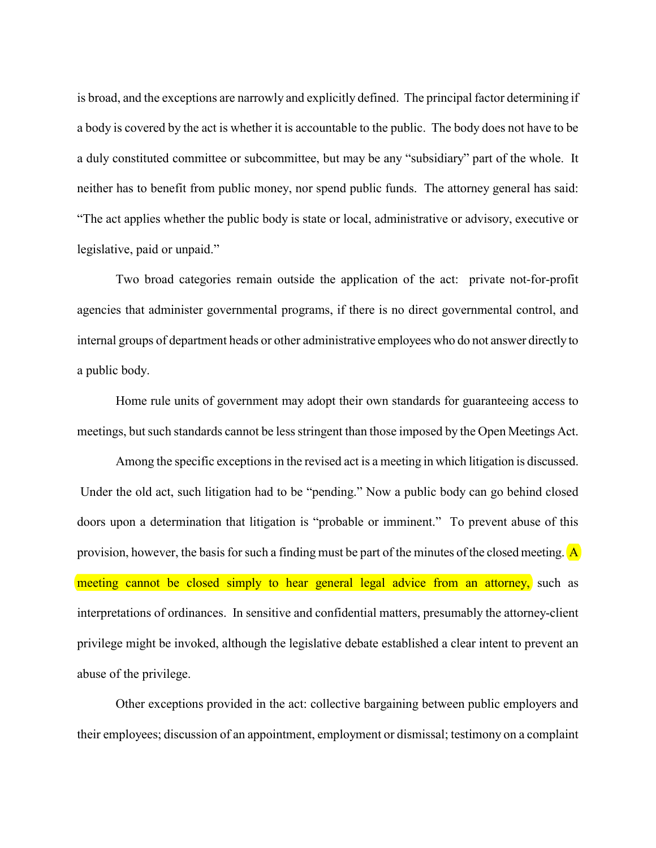is broad, and the exceptions are narrowly and explicitly defined. The principal factor determining if a body is covered by the act is whether it is accountable to the public. The body does not have to be a duly constituted committee or subcommittee, but may be any "subsidiary" part of the whole. It neither has to benefit from public money, nor spend public funds. The attorney general has said: "The act applies whether the public body is state or local, administrative or advisory, executive or legislative, paid or unpaid."

Two broad categories remain outside the application of the act: private not-for-profit agencies that administer governmental programs, if there is no direct governmental control, and internal groups of department heads or other administrative employees who do not answer directly to a public body.

Home rule units of government may adopt their own standards for guaranteeing access to meetings, but such standards cannot be less stringent than those imposed by the Open Meetings Act.

Among the specific exceptions in the revised act is a meeting in which litigation is discussed. Under the old act, such litigation had to be "pending." Now a public body can go behind closed doors upon a determination that litigation is "probable or imminent." To prevent abuse of this provision, however, the basis for such a finding must be part of the minutes of the closed meeting.  $\overline{A}$ meeting cannot be closed simply to hear general legal advice from an attorney, such as interpretations of ordinances. In sensitive and confidential matters, presumably the attorney-client privilege might be invoked, although the legislative debate established a clear intent to prevent an abuse of the privilege.

Other exceptions provided in the act: collective bargaining between public employers and their employees; discussion of an appointment, employment or dismissal; testimony on a complaint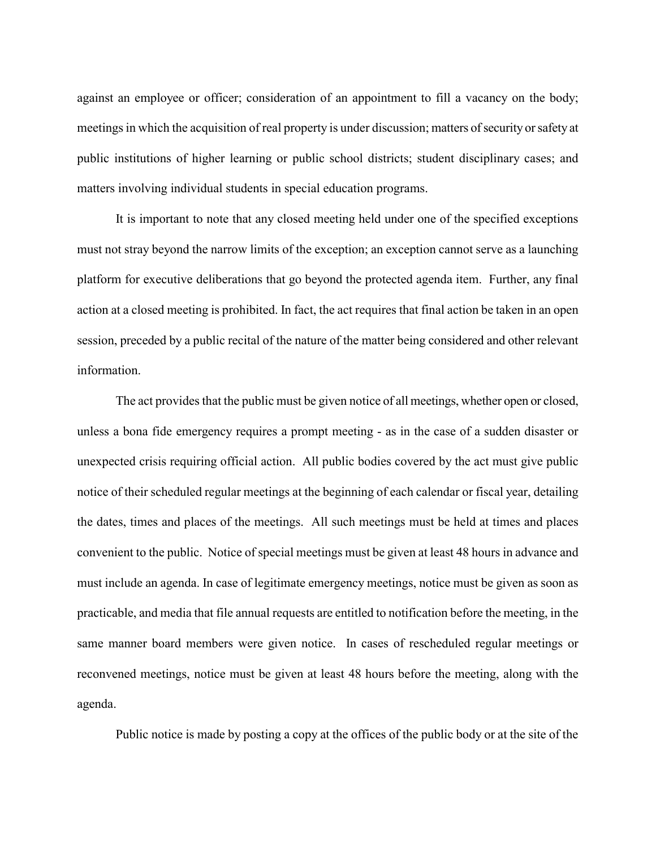against an employee or officer; consideration of an appointment to fill a vacancy on the body; meetings in which the acquisition of real property is under discussion; matters of security or safety at public institutions of higher learning or public school districts; student disciplinary cases; and matters involving individual students in special education programs.

It is important to note that any closed meeting held under one of the specified exceptions must not stray beyond the narrow limits of the exception; an exception cannot serve as a launching platform for executive deliberations that go beyond the protected agenda item. Further, any final action at a closed meeting is prohibited. In fact, the act requires that final action be taken in an open session, preceded by a public recital of the nature of the matter being considered and other relevant information.

The act provides that the public must be given notice of all meetings, whether open or closed, unless a bona fide emergency requires a prompt meeting - as in the case of a sudden disaster or unexpected crisis requiring official action. All public bodies covered by the act must give public notice of their scheduled regular meetings at the beginning of each calendar or fiscal year, detailing the dates, times and places of the meetings. All such meetings must be held at times and places convenient to the public. Notice of special meetings must be given at least 48 hours in advance and must include an agenda. In case of legitimate emergency meetings, notice must be given as soon as practicable, and media that file annual requests are entitled to notification before the meeting, in the same manner board members were given notice. In cases of rescheduled regular meetings or reconvened meetings, notice must be given at least 48 hours before the meeting, along with the agenda.

Public notice is made by posting a copy at the offices of the public body or at the site of the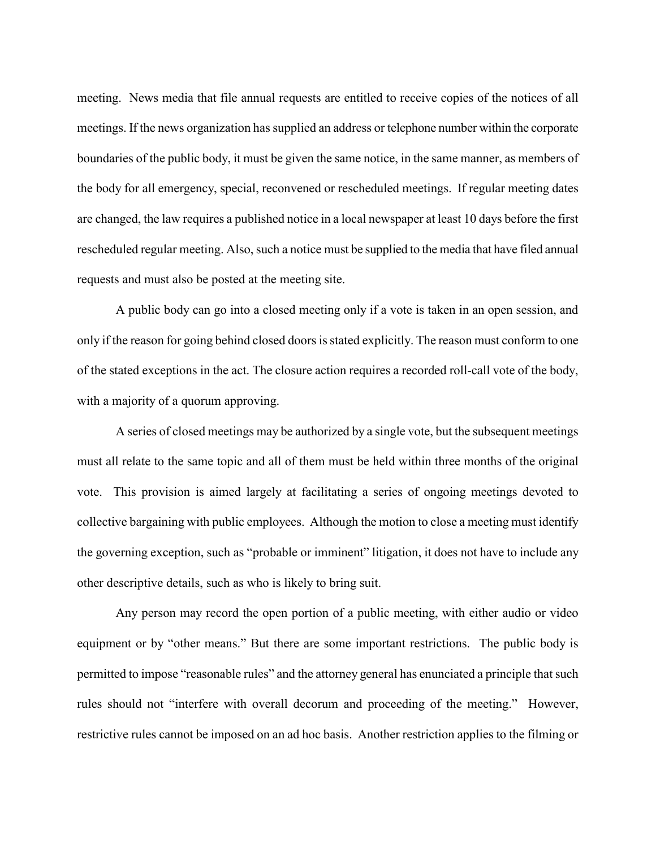meeting. News media that file annual requests are entitled to receive copies of the notices of all meetings. If the news organization has supplied an address or telephone number within the corporate boundaries of the public body, it must be given the same notice, in the same manner, as members of the body for all emergency, special, reconvened or rescheduled meetings. If regular meeting dates are changed, the law requires a published notice in a local newspaper at least 10 days before the first rescheduled regular meeting. Also, such a notice must be supplied to the media that have filed annual requests and must also be posted at the meeting site.

A public body can go into a closed meeting only if a vote is taken in an open session, and only if the reason for going behind closed doors is stated explicitly. The reason must conform to one of the stated exceptions in the act. The closure action requires a recorded roll-call vote of the body, with a majority of a quorum approving.

A series of closed meetings may be authorized by a single vote, but the subsequent meetings must all relate to the same topic and all of them must be held within three months of the original vote. This provision is aimed largely at facilitating a series of ongoing meetings devoted to collective bargaining with public employees. Although the motion to close a meeting must identify the governing exception, such as "probable or imminent" litigation, it does not have to include any other descriptive details, such as who is likely to bring suit.

Any person may record the open portion of a public meeting, with either audio or video equipment or by "other means." But there are some important restrictions. The public body is permitted to impose "reasonable rules" and the attorney general has enunciated a principle that such rules should not "interfere with overall decorum and proceeding of the meeting." However, restrictive rules cannot be imposed on an ad hoc basis. Another restriction applies to the filming or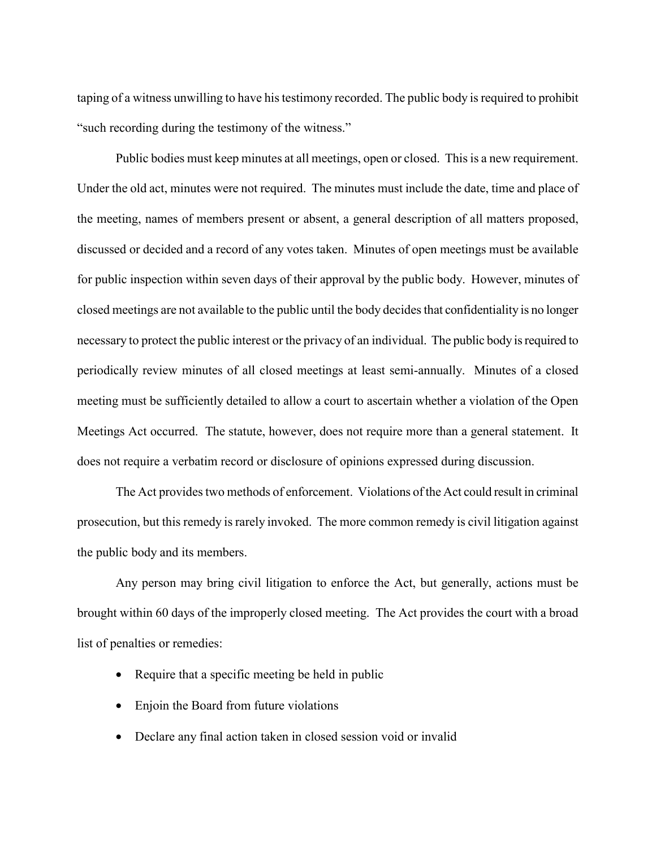taping of a witness unwilling to have his testimony recorded. The public body is required to prohibit "such recording during the testimony of the witness."

Public bodies must keep minutes at all meetings, open or closed. This is a new requirement. Under the old act, minutes were not required. The minutes must include the date, time and place of the meeting, names of members present or absent, a general description of all matters proposed, discussed or decided and a record of any votes taken. Minutes of open meetings must be available for public inspection within seven days of their approval by the public body. However, minutes of closed meetings are not available to the public until the body decides that confidentiality is no longer necessary to protect the public interest or the privacy of an individual. The public body is required to periodically review minutes of all closed meetings at least semi-annually. Minutes of a closed meeting must be sufficiently detailed to allow a court to ascertain whether a violation of the Open Meetings Act occurred. The statute, however, does not require more than a general statement. It does not require a verbatim record or disclosure of opinions expressed during discussion.

The Act provides two methods of enforcement. Violations of the Act could result in criminal prosecution, but this remedy is rarely invoked. The more common remedy is civil litigation against the public body and its members.

Any person may bring civil litigation to enforce the Act, but generally, actions must be brought within 60 days of the improperly closed meeting. The Act provides the court with a broad list of penalties or remedies:

- Require that a specific meeting be held in public
- Enjoin the Board from future violations
- Declare any final action taken in closed session void or invalid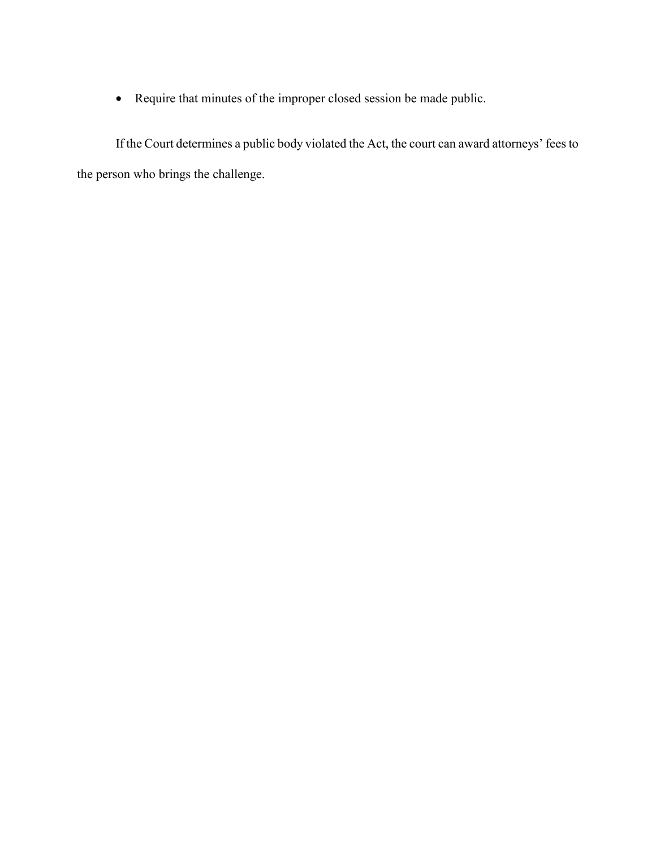• Require that minutes of the improper closed session be made public.

If the Court determines a public body violated the Act, the court can award attorneys' fees to the person who brings the challenge.